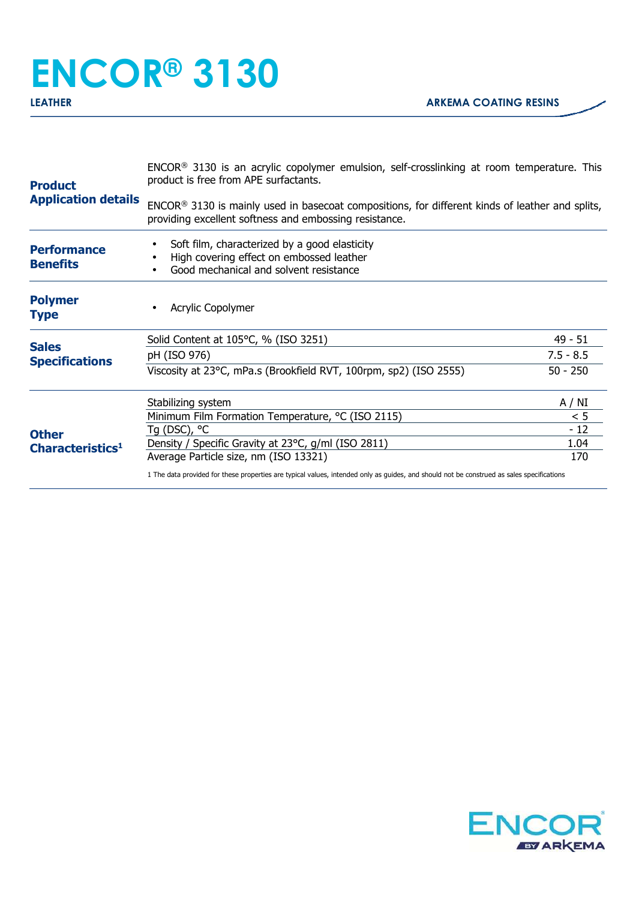## **ENCOR® 3130**

| <b>Product</b><br><b>Application details</b> | $ENCOR®$ 3130 is an acrylic copolymer emulsion, self-crosslinking at room temperature. This<br>product is free from APE surfactants.<br>ENCOR® 3130 is mainly used in basecoat compositions, for different kinds of leather and splits,<br>providing excellent softness and embossing resistance. |             |
|----------------------------------------------|---------------------------------------------------------------------------------------------------------------------------------------------------------------------------------------------------------------------------------------------------------------------------------------------------|-------------|
|                                              |                                                                                                                                                                                                                                                                                                   |             |
| <b>Polymer</b><br>Type                       | Acrylic Copolymer                                                                                                                                                                                                                                                                                 |             |
| <b>Sales</b><br><b>Specifications</b>        | Solid Content at 105°C, % (ISO 3251)                                                                                                                                                                                                                                                              | 49 - 51     |
|                                              | pH (ISO 976)                                                                                                                                                                                                                                                                                      | $7.5 - 8.5$ |
|                                              | Viscosity at 23°C, mPa.s (Brookfield RVT, 100rpm, sp2) (ISO 2555)                                                                                                                                                                                                                                 | $50 - 250$  |
| <b>Other</b><br>Characteristics <sup>1</sup> | Stabilizing system                                                                                                                                                                                                                                                                                | A / NI      |
|                                              | Minimum Film Formation Temperature, °C (ISO 2115)                                                                                                                                                                                                                                                 | < 5         |
|                                              | Tg (DSC), $^{\circ}$ C                                                                                                                                                                                                                                                                            | $-12$       |
|                                              | Density / Specific Gravity at 23°C, g/ml (ISO 2811)                                                                                                                                                                                                                                               | 1.04        |
|                                              | Average Particle size, nm (ISO 13321)                                                                                                                                                                                                                                                             | 170         |
|                                              | 1 The data provided for these properties are typical values, intended only as guides, and should not be construed as sales specifications                                                                                                                                                         |             |